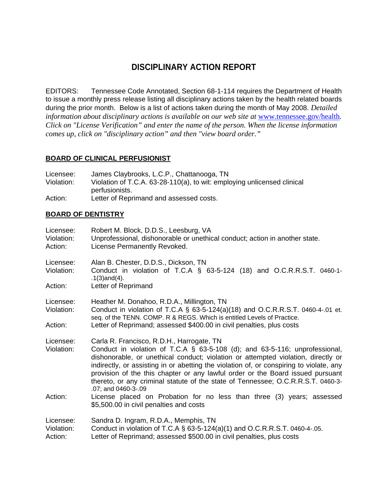# **DISCIPLINARY ACTION REPORT**

EDITORS: Tennessee Code Annotated, Section 68-1-114 requires the Department of Health to issue a monthly press release listing all disciplinary actions taken by the health related boards during the prior month. Below is a list of actions taken during the month of May 2008. *Detailed information about disciplinary actions is available on our web site at www.tennessee.gov/health. Click on "License Verification" and enter the name of the person. When the license information comes up, click on "disciplinary action" and then "view board order."* 

### **BOARD OF CLINICAL PERFUSIONIST**

| Licensee:  | James Claybrooks, L.C.P., Chattanooga, TN                               |
|------------|-------------------------------------------------------------------------|
| Violation: | Violation of T.C.A. 63-28-110(a), to wit: employing unlicensed clinical |
|            | perfusionists.                                                          |
| Action:    | Letter of Reprimand and assessed costs.                                 |

### **BOARD OF DENTISTRY**

| Licensee:<br>Violation:<br>Action: | Robert M. Block, D.D.S., Leesburg, VA<br>Unprofessional, dishonorable or unethical conduct; action in another state.<br>License Permanently Revoked.                                                                                                                                                                                                                                                                                                                                                                                                                                                                       |
|------------------------------------|----------------------------------------------------------------------------------------------------------------------------------------------------------------------------------------------------------------------------------------------------------------------------------------------------------------------------------------------------------------------------------------------------------------------------------------------------------------------------------------------------------------------------------------------------------------------------------------------------------------------------|
| Licensee:<br>Violation:<br>Action: | Alan B. Chester, D.D.S., Dickson, TN<br>Conduct in violation of T.C.A $\S$ 63-5-124 (18) and O.C.R.R.S.T. 0460-1-<br>$.1(3)$ and $(4)$ .<br>Letter of Reprimand                                                                                                                                                                                                                                                                                                                                                                                                                                                            |
| Licensee:<br>Violation:<br>Action: | Heather M. Donahoo, R.D.A., Millington, TN<br>Conduct in violation of T.C.A § 63-5-124(a)(18) and O.C.R.R.S.T. 0460-4-.01 et.<br>seq. of the TENN. COMP. R & REGS. Which is entitled Levels of Practice.<br>Letter of Reprimand; assessed \$400.00 in civil penalties, plus costs                                                                                                                                                                                                                                                                                                                                          |
| Licensee:<br>Violation:<br>Action: | Carla R. Francisco, R.D.H., Harrogate, TN<br>Conduct in violation of T.C.A § 63-5-108 (d); and 63-5-116; unprofessional,<br>dishonorable, or unethical conduct; violation or attempted violation, directly or<br>indirectly, or assisting in or abetting the violation of, or conspiring to violate, any<br>provision of the this chapter or any lawful order or the Board issued pursuant<br>thereto, or any criminal statute of the state of Tennessee; O.C.R.R.S.T. 0460-3-<br>.07; and 0460-3-.09<br>License placed on Probation for no less than three (3) years; assessed<br>\$5,500.00 in civil penalties and costs |
| Licensee:<br>Violation:<br>Action: | Sandra D. Ingram, R.D.A., Memphis, TN<br>Conduct in violation of T.C.A $\S$ 63-5-124(a)(1) and O.C.R.R.S.T. 0460-4-.05.<br>Letter of Reprimand; assessed \$500.00 in civil penalties, plus costs                                                                                                                                                                                                                                                                                                                                                                                                                           |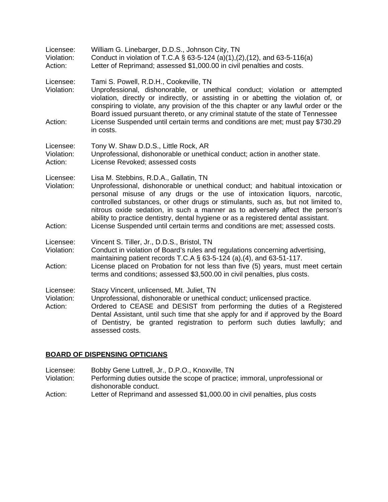| Licensee:<br>Violation:<br>Action: | William G. Linebarger, D.D.S., Johnson City, TN<br>Conduct in violation of T.C.A § 63-5-124 (a)(1),(2),(12), and 63-5-116(a)<br>Letter of Reprimand; assessed \$1,000.00 in civil penalties and costs.                                                                                                                                                                                                                                                                                                                                              |
|------------------------------------|-----------------------------------------------------------------------------------------------------------------------------------------------------------------------------------------------------------------------------------------------------------------------------------------------------------------------------------------------------------------------------------------------------------------------------------------------------------------------------------------------------------------------------------------------------|
| Licensee:<br>Violation:            | Tami S. Powell, R.D.H., Cookeville, TN<br>Unprofessional, dishonorable, or unethical conduct; violation or attempted<br>violation, directly or indirectly, or assisting in or abetting the violation of, or<br>conspiring to violate, any provision of the this chapter or any lawful order or the<br>Board issued pursuant thereto, or any criminal statute of the state of Tennessee                                                                                                                                                              |
| Action:                            | License Suspended until certain terms and conditions are met; must pay \$730.29<br>in costs.                                                                                                                                                                                                                                                                                                                                                                                                                                                        |
| Licensee:<br>Violation:<br>Action: | Tony W. Shaw D.D.S., Little Rock, AR<br>Unprofessional, dishonorable or unethical conduct; action in another state.<br>License Revoked; assessed costs                                                                                                                                                                                                                                                                                                                                                                                              |
| Licensee:<br>Violation:<br>Action: | Lisa M. Stebbins, R.D.A., Gallatin, TN<br>Unprofessional, dishonorable or unethical conduct; and habitual intoxication or<br>personal misuse of any drugs or the use of intoxication liquors, narcotic,<br>controlled substances, or other drugs or stimulants, such as, but not limited to,<br>nitrous oxide sedation, in such a manner as to adversely affect the person's<br>ability to practice dentistry, dental hygiene or as a registered dental assistant.<br>License Suspended until certain terms and conditions are met; assessed costs. |
| Licensee:<br>Violation:            | Vincent S. Tiller, Jr., D.D.S., Bristol, TN<br>Conduct in violation of Board's rules and regulations concerning advertising,<br>maintaining patient records T.C.A $\S$ 63-5-124 (a),(4), and 63-51-117.                                                                                                                                                                                                                                                                                                                                             |
| Action:                            | License placed on Probation for not less than five (5) years, must meet certain<br>terms and conditions; assessed \$3,500.00 in civil penalties, plus costs.                                                                                                                                                                                                                                                                                                                                                                                        |
| Licensee:<br>Violation:<br>Action: | Stacy Vincent, unlicensed, Mt. Juliet, TN<br>Unprofessional, dishonorable or unethical conduct; unlicensed practice.<br>Ordered to CEASE and DESIST from performing the duties of a Registered<br>Dental Assistant, until such time that she apply for and if approved by the Board<br>of Dentistry, be granted registration to perform such duties lawfully; and<br>assessed costs.                                                                                                                                                                |
|                                    |                                                                                                                                                                                                                                                                                                                                                                                                                                                                                                                                                     |

#### **BOARD OF DISPENSING OPTICIANS**

- Licensee: Bobby Gene Luttrell, Jr., D.P.O., Knoxville, TN
- Violation: Performing duties outside the scope of practice; immoral, unprofessional or dishonorable conduct.
- Action: Letter of Reprimand and assessed \$1,000.00 in civil penalties, plus costs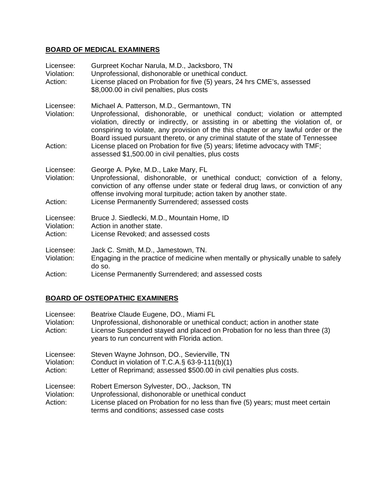## **BOARD OF MEDICAL EXAMINERS**

| Licensee:<br>Violation:<br>Action: | Gurpreet Kochar Narula, M.D., Jacksboro, TN<br>Unprofessional, dishonorable or unethical conduct.<br>License placed on Probation for five (5) years, 24 hrs CME's, assessed<br>\$8,000.00 in civil penalties, plus costs                                                                                                                                                                    |
|------------------------------------|---------------------------------------------------------------------------------------------------------------------------------------------------------------------------------------------------------------------------------------------------------------------------------------------------------------------------------------------------------------------------------------------|
| Licensee:<br>Violation:            | Michael A. Patterson, M.D., Germantown, TN.<br>Unprofessional, dishonorable, or unethical conduct; violation or attempted<br>violation, directly or indirectly, or assisting in or abetting the violation of, or<br>conspiring to violate, any provision of the this chapter or any lawful order or the<br>Board issued pursuant thereto, or any criminal statute of the state of Tennessee |
| Action:                            | License placed on Probation for five (5) years; lifetime advocacy with TMF;<br>assessed \$1,500.00 in civil penalties, plus costs                                                                                                                                                                                                                                                           |
| Licensee:<br>Violation:            | George A. Pyke, M.D., Lake Mary, FL<br>Unprofessional, dishonorable, or unethical conduct; conviction of a felony,<br>conviction of any offense under state or federal drug laws, or conviction of any<br>offense involving moral turpitude; action taken by another state.                                                                                                                 |
| Action:                            | License Permanently Surrendered; assessed costs                                                                                                                                                                                                                                                                                                                                             |
| Licensee:<br>Violation:<br>Action: | Bruce J. Siedlecki, M.D., Mountain Home, ID<br>Action in another state.<br>License Revoked; and assessed costs                                                                                                                                                                                                                                                                              |
| Licensee:<br>Violation:            | Jack C. Smith, M.D., Jamestown, TN.<br>Engaging in the practice of medicine when mentally or physically unable to safely<br>do so.                                                                                                                                                                                                                                                          |
| Action:                            | License Permanently Surrendered; and assessed costs                                                                                                                                                                                                                                                                                                                                         |

# **BOARD OF OSTEOPATHIC EXAMINERS**

| Licensee:<br>Violation:<br>Action: | Beatrixe Claude Eugene, DO., Miami FL<br>Unprofessional, dishonorable or unethical conduct; action in another state<br>License Suspended stayed and placed on Probation for no less than three (3)<br>years to run concurrent with Florida action. |
|------------------------------------|----------------------------------------------------------------------------------------------------------------------------------------------------------------------------------------------------------------------------------------------------|
| Licensee:<br>Violation:<br>Action: | Steven Wayne Johnson, DO., Sevierville, TN<br>Conduct in violation of T.C.A. $\S$ 63-9-111(b)(1)<br>Letter of Reprimand; assessed \$500.00 in civil penalties plus costs.                                                                          |
| Licensee:<br>Violation:<br>Action: | Robert Emerson Sylvester, DO., Jackson, TN<br>Unprofessional, dishonorable or unethical conduct<br>License placed on Probation for no less than five (5) years; must meet certain<br>terms and conditions; assessed case costs                     |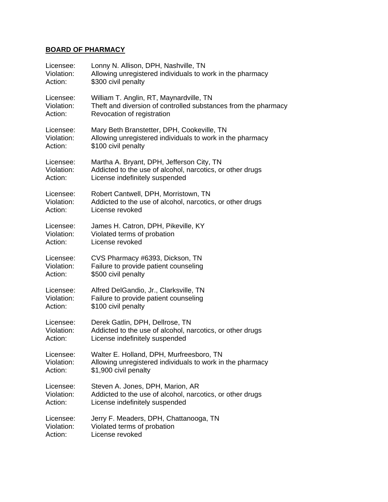## **BOARD OF PHARMACY**

| Licensee:  | Lonny N. Allison, DPH, Nashville, TN                           |
|------------|----------------------------------------------------------------|
| Violation: | Allowing unregistered individuals to work in the pharmacy      |
| Action:    | \$300 civil penalty                                            |
| Licensee:  | William T. Anglin, RT, Maynardville, TN                        |
| Violation: | Theft and diversion of controlled substances from the pharmacy |
| Action:    | Revocation of registration                                     |
| Licensee:  | Mary Beth Branstetter, DPH, Cookeville, TN                     |
| Violation: | Allowing unregistered individuals to work in the pharmacy      |
| Action:    | \$100 civil penalty                                            |
| Licensee:  | Martha A. Bryant, DPH, Jefferson City, TN                      |
| Violation: | Addicted to the use of alcohol, narcotics, or other drugs      |
| Action:    | License indefinitely suspended                                 |
| Licensee:  | Robert Cantwell, DPH, Morristown, TN                           |
| Violation: | Addicted to the use of alcohol, narcotics, or other drugs      |
| Action:    | License revoked                                                |
| Licensee:  | James H. Catron, DPH, Pikeville, KY                            |
| Violation: | Violated terms of probation                                    |
| Action:    | License revoked                                                |
| Licensee:  | CVS Pharmacy #6393, Dickson, TN                                |
| Violation: | Failure to provide patient counseling                          |
| Action:    | \$500 civil penalty                                            |
| Licensee:  | Alfred DelGandio, Jr., Clarksville, TN                         |
| Violation: | Failure to provide patient counseling                          |
| Action:    | \$100 civil penalty                                            |
| Licensee:  | Derek Gatlin, DPH, Dellrose, TN                                |
| Violation: | Addicted to the use of alcohol, narcotics, or other drugs      |
| Action:    | License indefinitely suspended                                 |
| Licensee:  | Walter E. Holland, DPH, Murfreesboro, TN                       |
| Violation: | Allowing unregistered individuals to work in the pharmacy      |
| Action:    | \$1,900 civil penalty                                          |
| Licensee:  | Steven A. Jones, DPH, Marion, AR                               |
| Violation: | Addicted to the use of alcohol, narcotics, or other drugs      |
| Action:    | License indefinitely suspended                                 |
| Licensee:  | Jerry F. Meaders, DPH, Chattanooga, TN                         |
| Violation: | Violated terms of probation                                    |
| Action:    | License revoked                                                |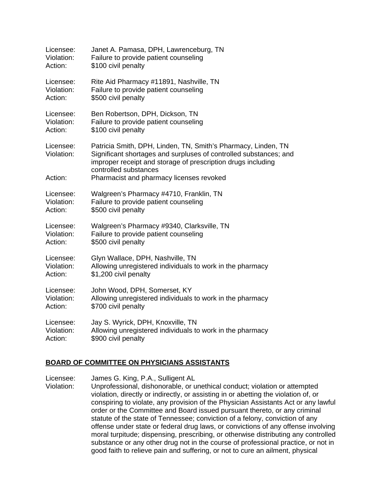| Licensee:                          | Janet A. Pamasa, DPH, Lawrenceburg, TN                                                                                                                                                                                                                                  |
|------------------------------------|-------------------------------------------------------------------------------------------------------------------------------------------------------------------------------------------------------------------------------------------------------------------------|
| Violation:                         | Failure to provide patient counseling                                                                                                                                                                                                                                   |
| Action:                            | \$100 civil penalty                                                                                                                                                                                                                                                     |
| Licensee:                          | Rite Aid Pharmacy #11891, Nashville, TN                                                                                                                                                                                                                                 |
| Violation:                         | Failure to provide patient counseling                                                                                                                                                                                                                                   |
| Action:                            | \$500 civil penalty                                                                                                                                                                                                                                                     |
| Licensee:                          | Ben Robertson, DPH, Dickson, TN                                                                                                                                                                                                                                         |
| Violation:                         | Failure to provide patient counseling                                                                                                                                                                                                                                   |
| Action:                            | \$100 civil penalty                                                                                                                                                                                                                                                     |
| Licensee:<br>Violation:<br>Action: | Patricia Smith, DPH, Linden, TN, Smith's Pharmacy, Linden, TN<br>Significant shortages and surpluses of controlled substances; and<br>improper receipt and storage of prescription drugs including<br>controlled substances<br>Pharmacist and pharmacy licenses revoked |
| Licensee:                          | Walgreen's Pharmacy #4710, Franklin, TN                                                                                                                                                                                                                                 |
| Violation:                         | Failure to provide patient counseling                                                                                                                                                                                                                                   |
| Action:                            | \$500 civil penalty                                                                                                                                                                                                                                                     |
| Licensee:                          | Walgreen's Pharmacy #9340, Clarksville, TN                                                                                                                                                                                                                              |
| Violation:                         | Failure to provide patient counseling                                                                                                                                                                                                                                   |
| Action:                            | \$500 civil penalty                                                                                                                                                                                                                                                     |
| Licensee:                          | Glyn Wallace, DPH, Nashville, TN                                                                                                                                                                                                                                        |
| Violation:                         | Allowing unregistered individuals to work in the pharmacy                                                                                                                                                                                                               |
| Action:                            | \$1,200 civil penalty                                                                                                                                                                                                                                                   |
| Licensee:                          | John Wood, DPH, Somerset, KY                                                                                                                                                                                                                                            |
| Violation:                         | Allowing unregistered individuals to work in the pharmacy                                                                                                                                                                                                               |
| Action:                            | \$700 civil penalty                                                                                                                                                                                                                                                     |
| Licensee:                          | Jay S. Wyrick, DPH, Knoxville, TN                                                                                                                                                                                                                                       |
| Violation:                         | Allowing unregistered individuals to work in the pharmacy                                                                                                                                                                                                               |
| Action:                            | \$900 civil penalty                                                                                                                                                                                                                                                     |

#### **BOARD OF COMMITTEE ON PHYSICIANS ASSISTANTS**

Licensee: James G. King, P.A., Sulligent AL

Violation: Unprofessional, dishonorable, or unethical conduct; violation or attempted violation, directly or indirectly, or assisting in or abetting the violation of, or conspiring to violate, any provision of the Physician Assistants Act or any lawful order or the Committee and Board issued pursuant thereto, or any criminal statute of the state of Tennessee; conviction of a felony, conviction of any offense under state or federal drug laws, or convictions of any offense involving moral turpitude; dispensing, prescribing, or otherwise distributing any controlled substance or any other drug not in the course of professional practice, or not in good faith to relieve pain and suffering, or not to cure an ailment, physical